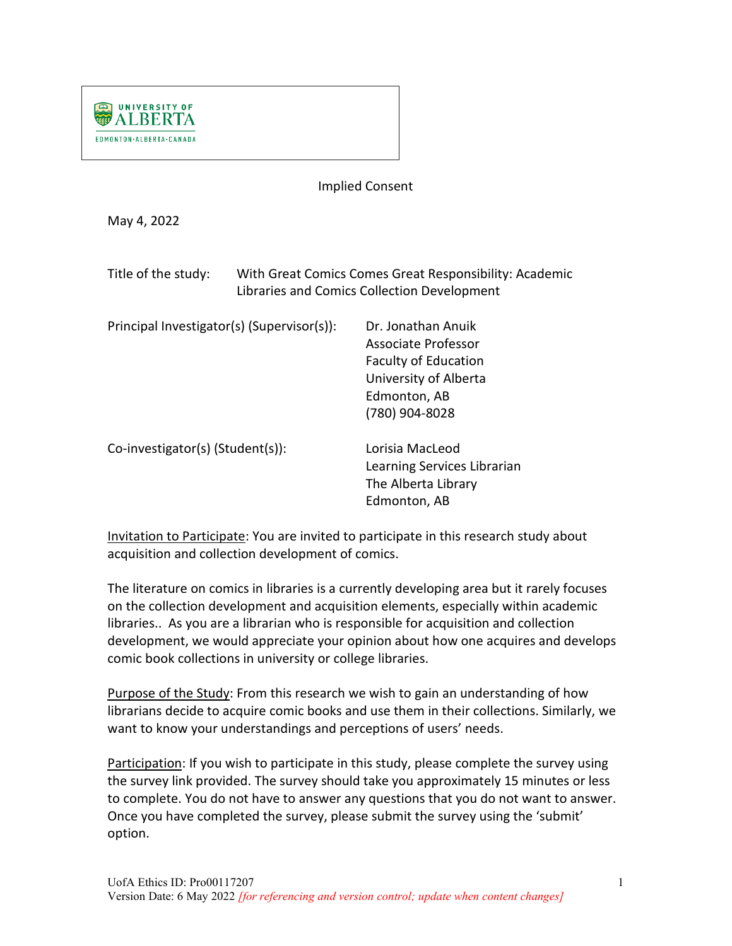

Implied Consent

May 4, 2022

| Title of the study: | With Great Comics Comes Great Responsibility: Academic |
|---------------------|--------------------------------------------------------|
|                     | Libraries and Comics Collection Development            |

| Principal Investigator(s) (Supervisor(s)): | Dr. Jonathan Anuik<br>Associate Professor<br><b>Faculty of Education</b><br>University of Alberta<br>Edmonton, AB |
|--------------------------------------------|-------------------------------------------------------------------------------------------------------------------|
| Co-investigator(s) (Student(s)):           | (780) 904-8028<br>Lorisia MacLeod<br>Learning Services Librarian<br>The Alberta Library<br>Edmonton, AB           |

Invitation to Participate: You are invited to participate in this research study about acquisition and collection development of comics.

The literature on comics in libraries is a currently developing area but it rarely focuses on the collection development and acquisition elements, especially within academic libraries.. As you are a librarian who is responsible for acquisition and collection development, we would appreciate your opinion about how one acquires and develops comic book collections in university or college libraries.

Purpose of the Study: From this research we wish to gain an understanding of how librarians decide to acquire comic books and use them in their collections. Similarly, we want to know your understandings and perceptions of users' needs.

Participation: If you wish to participate in this study, please complete the survey using the survey link provided. The survey should take you approximately 15 minutes or less to complete. You do not have to answer any questions that you do not want to answer. Once you have completed the survey, please submit the survey using the 'submit' option.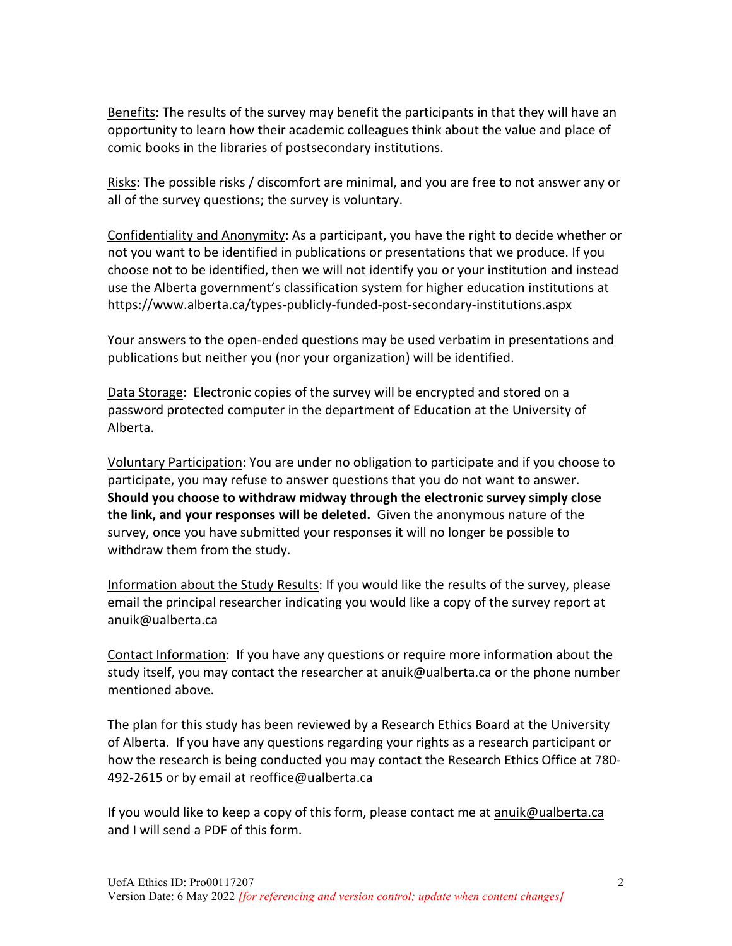Benefits: The results of the survey may benefit the participants in that they will have an opportunity to learn how their academic colleagues think about the value and place of comic books in the libraries of postsecondary institutions.

Risks: The possible risks / discomfort are minimal, and you are free to not answer any or all of the survey questions; the survey is voluntary.

Confidentiality and Anonymity: As a participant, you have the right to decide whether or not you want to be identified in publications or presentations that we produce. If you choose not to be identified, then we will not identify you or your institution and instead use the Alberta government's classification system for higher education institutions at https://www.alberta.ca/types-publicly-funded-post-secondary-institutions.aspx

Your answers to the open-ended questions may be used verbatim in presentations and publications but neither you (nor your organization) will be identified.

Data Storage: Electronic copies of the survey will be encrypted and stored on a password protected computer in the department of Education at the University of Alberta.

Voluntary Participation: You are under no obligation to participate and if you choose to participate, you may refuse to answer questions that you do not want to answer. **Should you choose to withdraw midway through the electronic survey simply close the link, and your responses will be deleted.** Given the anonymous nature of the survey, once you have submitted your responses it will no longer be possible to withdraw them from the study.

Information about the Study Results: If you would like the results of the survey, please email the principal researcher indicating you would like a copy of the survey report at anuik@ualberta.ca

Contact Information: If you have any questions or require more information about the study itself, you may contact the researcher at anuik@ualberta.ca or the phone number mentioned above.

The plan for this study has been reviewed by a Research Ethics Board at the University of Alberta. If you have any questions regarding your rights as a research participant or how the research is being conducted you may contact the Research Ethics Office at 780- 492-2615 or by email at reoffice@ualberta.ca

If you would like to keep a copy of this form, please contact me at [anuik@ualberta.ca](mailto:anuik@ualberta.ca) and I will send a PDF of this form.